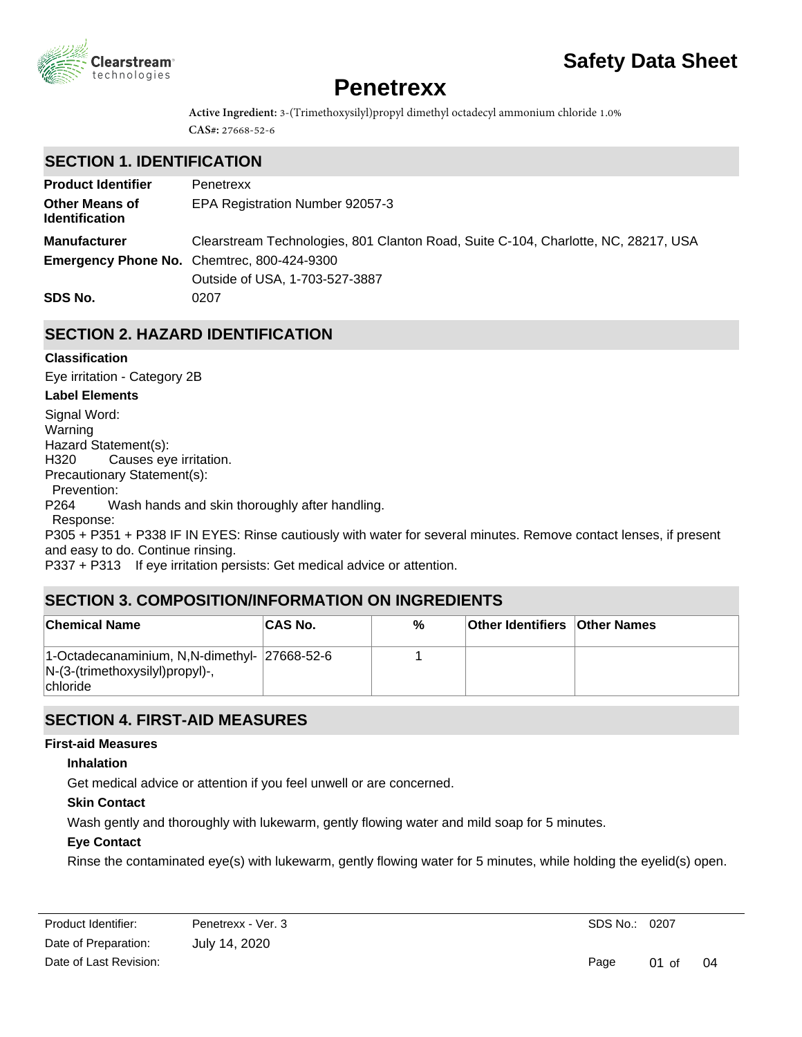

# **Safety Data Sheet**

# **Penetrexx**

**Active Ingredient:** 3-(Trimethoxysilyl)propyl dimethyl octadecyl ammonium chloride 1.0% **CAS#:** 27668-52-6

## **SECTION 1. IDENTIFICATION**

| <b>Product Identifier</b>                      | Penetrexx                                                                          |
|------------------------------------------------|------------------------------------------------------------------------------------|
| <b>Other Means of</b><br><b>Identification</b> | EPA Registration Number 92057-3                                                    |
| <b>Manufacturer</b>                            | Clearstream Technologies, 801 Clanton Road, Suite C-104, Charlotte, NC, 28217, USA |
|                                                | <b>Emergency Phone No.</b> Chemtrec, 800-424-9300                                  |
|                                                | Outside of USA, 1-703-527-3887                                                     |
| SDS No.                                        | 0207                                                                               |

# **SECTION 2. HAZARD IDENTIFICATION**

#### **Classification**

**Label Elements** Signal Word: Warning Hazard Statement(s): H320 Causes eye irritation. Precautionary Statement(s): Prevention: P264 Wash hands and skin thoroughly after handling. Response: P305 + P351 + P338 IF IN EYES: Rinse cautiously with water for several minutes. Remove contact lenses, if present and easy to do. Continue rinsing. P337 + P313 If eye irritation persists: Get medical advice or attention. Eye irritation - Category 2B

# **SECTION 3. COMPOSITION/INFORMATION ON INGREDIENTS**

| <b>Chemical Name</b>                                                                                  | <b>CAS No.</b> | % | <b>Other Identifiers Other Names</b> |  |
|-------------------------------------------------------------------------------------------------------|----------------|---|--------------------------------------|--|
| 1-Octadecanaminium, N,N-dimethyl- 27668-52-6<br>$N-(3-(trimethoxysilyl)propyl)$ -,<br><b>chloride</b> |                |   |                                      |  |

# **SECTION 4. FIRST-AID MEASURES**

#### **First-aid Measures**

#### **Inhalation**

Get medical advice or attention if you feel unwell or are concerned.

#### **Skin Contact**

Wash gently and thoroughly with lukewarm, gently flowing water and mild soap for 5 minutes.

#### **Eye Contact**

Rinse the contaminated eye(s) with lukewarm, gently flowing water for 5 minutes, while holding the eyelid(s) open.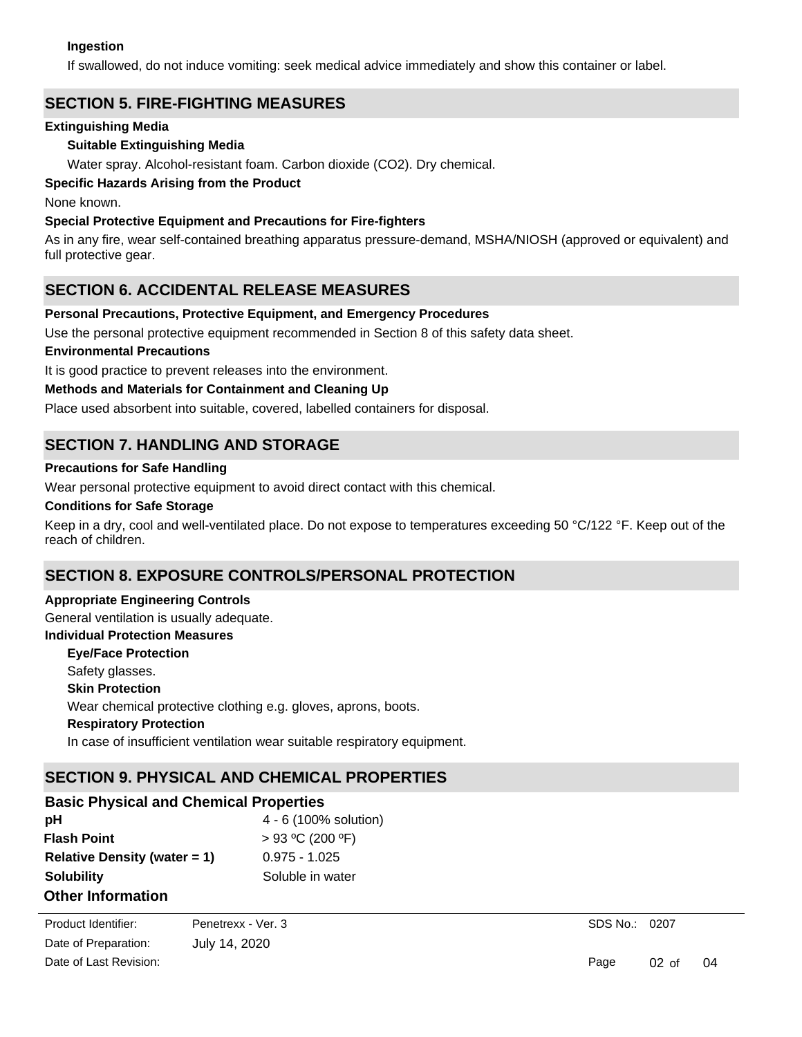#### **Ingestion**

If swallowed, do not induce vomiting: seek medical advice immediately and show this container or label.

# **SECTION 5. FIRE-FIGHTING MEASURES**

#### **Extinguishing Media**

#### **Suitable Extinguishing Media**

Water spray. Alcohol-resistant foam. Carbon dioxide (CO2). Dry chemical.

#### **Specific Hazards Arising from the Product**

None known.

#### **Special Protective Equipment and Precautions for Fire-fighters**

As in any fire, wear self-contained breathing apparatus pressure-demand, MSHA/NIOSH (approved or equivalent) and full protective gear.

## **SECTION 6. ACCIDENTAL RELEASE MEASURES**

#### **Personal Precautions, Protective Equipment, and Emergency Procedures**

Use the personal protective equipment recommended in Section 8 of this safety data sheet.

#### **Environmental Precautions**

It is good practice to prevent releases into the environment.

#### **Methods and Materials for Containment and Cleaning Up**

Place used absorbent into suitable, covered, labelled containers for disposal.

## **SECTION 7. HANDLING AND STORAGE**

#### **Precautions for Safe Handling**

Wear personal protective equipment to avoid direct contact with this chemical.

#### **Conditions for Safe Storage**

Keep in a dry, cool and well-ventilated place. Do not expose to temperatures exceeding 50 °C/122 °F. Keep out of the reach of children.

# **SECTION 8. EXPOSURE CONTROLS/PERSONAL PROTECTION**

#### **Appropriate Engineering Controls**

General ventilation is usually adequate.

# **Individual Protection Measures**

**Skin Protection Respiratory Protection Eye/Face Protection** In case of insufficient ventilation wear suitable respiratory equipment. Wear chemical protective clothing e.g. gloves, aprons, boots. Safety glasses.

# **SECTION 9. PHYSICAL AND CHEMICAL PROPERTIES**

| <b>Basic Physical and Chemical Properties</b> |                       |  |  |  |  |
|-----------------------------------------------|-----------------------|--|--|--|--|
| рH                                            | 4 - 6 (100% solution) |  |  |  |  |
| <b>Flash Point</b>                            | $> 93$ °C (200 °F)    |  |  |  |  |
| Relative Density (water $= 1$ )               | $0.975 - 1.025$       |  |  |  |  |
| <b>Solubility</b>                             | Soluble in water      |  |  |  |  |
| <b>Other Information</b>                      |                       |  |  |  |  |

**Other Physical Property 1** Appearance: clear to straw with some cloudiness and sedimentation Date of Preparation: Product Identifier: Penetrexx - Ver. 3

Date of Last Revision:

July 14, 2020

SDS No.: 0207

Page 02 of 04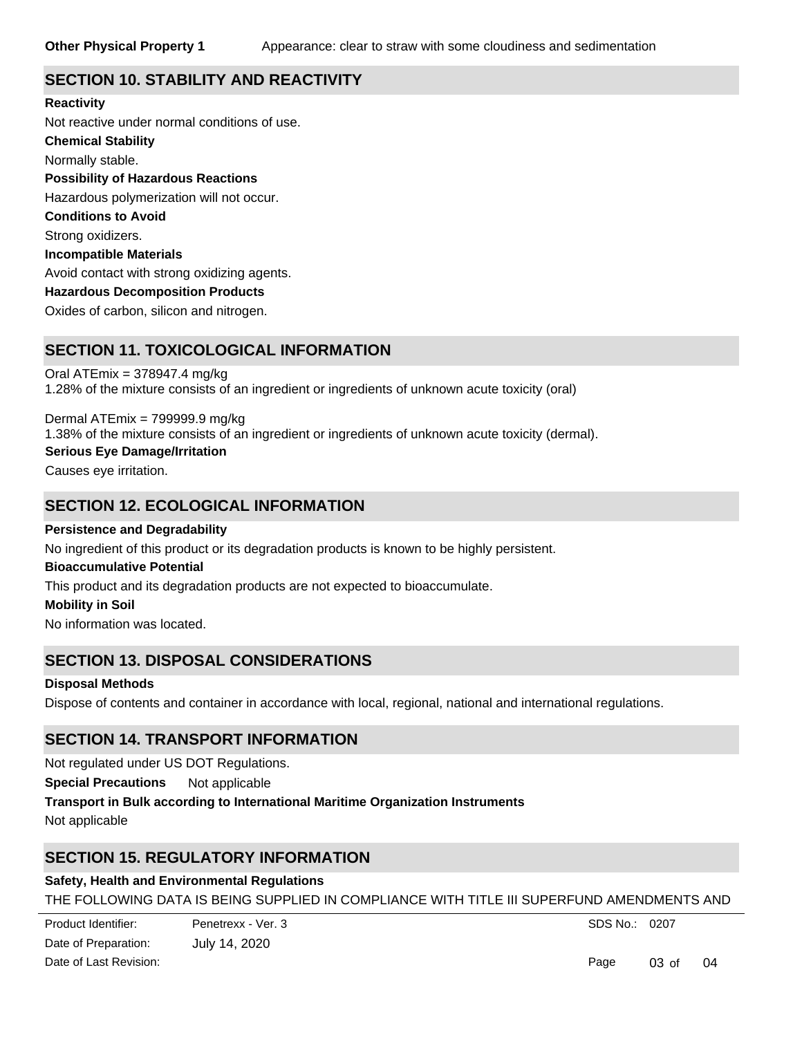# **SECTION 10. STABILITY AND REACTIVITY**

**Chemical Stability** Normally stable. **Conditions to Avoid** Strong oxidizers. **Incompatible Materials** Avoid contact with strong oxidizing agents. **Hazardous Decomposition Products** Oxides of carbon, silicon and nitrogen. **Possibility of Hazardous Reactions** Hazardous polymerization will not occur. **Reactivity** Not reactive under normal conditions of use.

## **SECTION 11. TOXICOLOGICAL INFORMATION**

Oral ATEmix = 378947.4 mg/kg 1.28% of the mixture consists of an ingredient or ingredients of unknown acute toxicity (oral)

**Serious Eye Damage/Irritation** Dermal ATEmix = 799999.9 mg/kg 1.38% of the mixture consists of an ingredient or ingredients of unknown acute toxicity (dermal).

Causes eye irritation.

## **SECTION 12. ECOLOGICAL INFORMATION**

**Persistence and Degradability**

No ingredient of this product or its degradation products is known to be highly persistent.

#### **Bioaccumulative Potential**

This product and its degradation products are not expected to bioaccumulate.

#### **Mobility in Soil**

No information was located.

## **SECTION 13. DISPOSAL CONSIDERATIONS**

#### **Disposal Methods**

Dispose of contents and container in accordance with local, regional, national and international regulations.

## **SECTION 14. TRANSPORT INFORMATION**

Not regulated under US DOT Regulations.

**Special Precautions** Not applicable

**Transport in Bulk according to International Maritime Organization Instruments**

Not applicable

# **SECTION 15. REGULATORY INFORMATION**

# **Safety, Health and Environmental Regulations**

THE FOLLOWING DATA IS BEING SUPPLIED IN COMPLIANCE WITH TITLE III SUPERFUND AMENDMENTS AND

SDS No.: 0207

Page 03 of 04